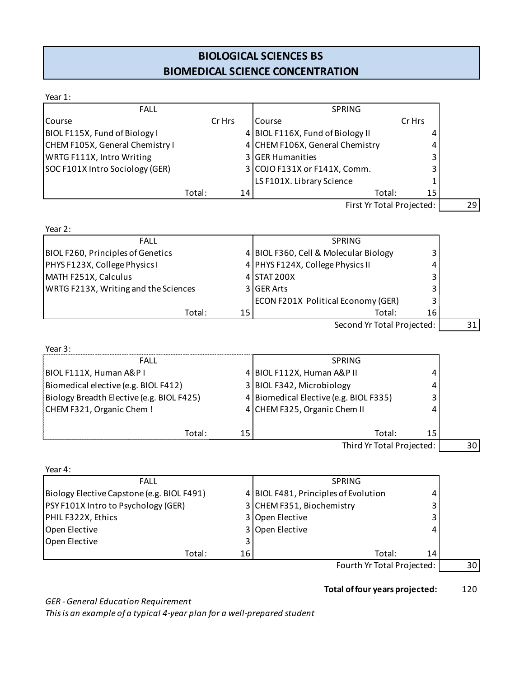## **BIOLOGICAL SCIENCES BS BIOMEDICAL SCIENCE CONCENTRATION**

| Year 1:                                    |        |    |                                        |        |                 |
|--------------------------------------------|--------|----|----------------------------------------|--------|-----------------|
| <b>FALL</b>                                |        |    | SPRING                                 |        |                 |
| Course                                     | Cr Hrs |    | Course                                 | Cr Hrs |                 |
| BIOL F115X, Fund of Biology I              |        |    | 4 BIOL F116X, Fund of Biology II       | 4      |                 |
| CHEM F105X, General Chemistry I            |        |    | 4 CHEM F106X, General Chemistry        | 4      |                 |
| WRTG F111X, Intro Writing                  |        |    | 3 GER Humanities                       | 3      |                 |
| SOC F101X Intro Sociology (GER)            |        |    | 3 COJO F131X or F141X, Comm.           | 3      |                 |
|                                            |        |    | LS F101X. Library Science              | 1      |                 |
| Total:                                     |        | 14 | Total:                                 | 15     |                 |
|                                            |        |    | First Yr Total Projected:              |        | 29              |
| Year 2:                                    |        |    |                                        |        |                 |
| <b>FALL</b>                                |        |    | <b>SPRING</b>                          |        |                 |
| BIOL F260, Principles of Genetics          |        |    | 4 BIOL F360, Cell & Molecular Biology  | 3      |                 |
| PHYS F123X, College Physics I              |        |    | 4 PHYS F124X, College Physics II       | 4      |                 |
| MATH F251X, Calculus                       |        |    | 4 STAT 200X                            | 3      |                 |
| WRTG F213X, Writing and the Sciences       |        |    | 3 GER Arts                             | 3      |                 |
|                                            |        |    | ECON F201X Political Economy (GER)     | 3      |                 |
| Total:                                     |        | 15 | Total:                                 | 16     |                 |
|                                            |        |    | Second Yr Total Projected:             |        | 31              |
| Year 3:                                    |        |    |                                        |        |                 |
| FALL                                       |        |    | <b>SPRING</b>                          |        |                 |
| BIOL F111X, Human A&P I                    |        |    | 4 BIOL F112X, Human A&P II             | 4      |                 |
| Biomedical elective (e.g. BIOL F412)       |        |    | 3 BIOL F342, Microbiology              | 4      |                 |
| Biology Breadth Elective (e.g. BIOL F425)  |        |    | 4 Biomedical Elective (e.g. BIOL F335) | 3      |                 |
| CHEM F321, Organic Chem!                   |        |    | 4 CHEM F325, Organic Chem II           | 4      |                 |
|                                            |        |    |                                        |        |                 |
| Total:                                     |        | 15 | Total:                                 | 15     |                 |
|                                            |        |    | Third Yr Total Projected:              |        | 30 <sup>°</sup> |
| Year 4:                                    |        |    |                                        |        |                 |
| <b>FALL</b>                                |        |    | <b>SPRING</b>                          |        |                 |
| Biology Elective Capstone (e.g. BIOL F491) |        |    | 4 BIOL F481, Principles of Evolution   | 4      |                 |
| PSY F101X Intro to Psychology (GER)        |        |    | 3 CHEM F351, Biochemistry              | 3      |                 |
| PHIL F322X, Ethics                         |        |    | 3 Open Elective                        | 3      |                 |

Open Elective 4 Company 3 Open Elective 4

Open Elective 3 Total: 16 16 Total: 14 Fourth Yr Total Projected: 30

**Total of four years projected:** 120

*GER - General Education Requirement*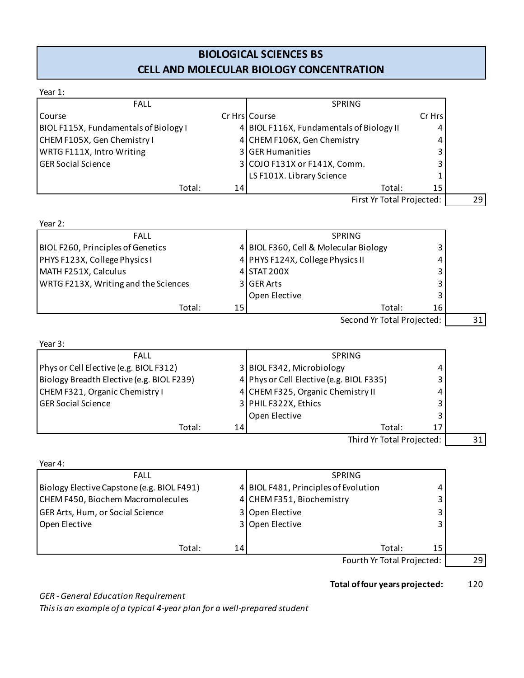# **BIOLOGICAL SCIENCES BS CELL AND MOLECULAR BIOLOGY CONCENTRATION**

| <b>FALL</b>                                                                                                                                   |                 | <b>SPRING</b>                            |        |  |
|-----------------------------------------------------------------------------------------------------------------------------------------------|-----------------|------------------------------------------|--------|--|
| Course                                                                                                                                        |                 | Cr Hrs   Course                          | Cr Hrs |  |
| BIOL F115X, Fundamentals of Biology I                                                                                                         |                 | 4 BIOL F116X, Fundamentals of Biology II |        |  |
| CHEM F105X, Gen Chemistry I                                                                                                                   |                 | 4 CHEM F106X, Gen Chemistry              |        |  |
| WRTG F111X, Intro Writing                                                                                                                     |                 | 3 GER Humanities                         |        |  |
| <b>GER Social Science</b>                                                                                                                     |                 | 3 COJO F131X or F141X, Comm.             |        |  |
|                                                                                                                                               |                 | LS F101X. Library Science                |        |  |
|                                                                                                                                               |                 |                                          |        |  |
| Total:                                                                                                                                        | 14              | Total:                                   | 15     |  |
|                                                                                                                                               |                 | First Yr Total Projected:                |        |  |
| <b>FALL</b>                                                                                                                                   |                 | <b>SPRING</b>                            |        |  |
|                                                                                                                                               |                 | 4 BIOL F360, Cell & Molecular Biology    |        |  |
|                                                                                                                                               |                 | 4 PHYS F124X, College Physics II         |        |  |
|                                                                                                                                               |                 | 4 STAT 200X                              |        |  |
| Year 2:<br>BIOL F260, Principles of Genetics<br>PHYS F123X, College Physics I<br>MATH F251X, Calculus<br>WRTG F213X, Writing and the Sciences |                 | 3 GER Arts                               | 3      |  |
|                                                                                                                                               |                 | Open Elective                            |        |  |
| Total:                                                                                                                                        | 15 <sub>l</sub> | Total:                                   | 16     |  |

| Year 3:                                   |      |                                          |    |    |
|-------------------------------------------|------|------------------------------------------|----|----|
| <b>FALL</b>                               |      | <b>SPRING</b>                            |    |    |
| Phys or Cell Elective (e.g. BIOL F312)    |      | 3 BIOL F342, Microbiology                |    |    |
| Biology Breadth Elective (e.g. BIOL F239) |      | 4 Phys or Cell Elective (e.g. BIOL F335) |    |    |
| CHEM F321, Organic Chemistry I            |      | 4 CHEM F325, Organic Chemistry II        |    |    |
| <b>GER Social Science</b>                 |      | 3 PHIL F322X, Ethics                     |    |    |
|                                           |      | <b>Open Elective</b>                     |    |    |
| Total:                                    | 14 I | Total:                                   | 17 |    |
|                                           |      | Third Yr Total Projected:                |    | 31 |

| Third Yr Total Projecte |
|-------------------------|
|-------------------------|

| Year 4:                                    |    |                                      |    |  |
|--------------------------------------------|----|--------------------------------------|----|--|
| <b>FALL</b>                                |    | <b>SPRING</b>                        |    |  |
| Biology Elective Capstone (e.g. BIOL F491) |    | 4 BIOL F481, Principles of Evolution |    |  |
| CHEM F450, Biochem Macromolecules          |    | 4 CHEM F351, Biochemistry            |    |  |
| <b>GER Arts, Hum, or Social Science</b>    |    | 3 Open Elective                      |    |  |
| Open Elective                              |    | 3 Open Elective                      |    |  |
|                                            |    |                                      |    |  |
| Total:                                     | 14 | Total:                               | 15 |  |
|                                            |    | Fourth Yr Total Projected:           |    |  |

#### **Total of four years projected:** 120

*GER - General Education Requirement*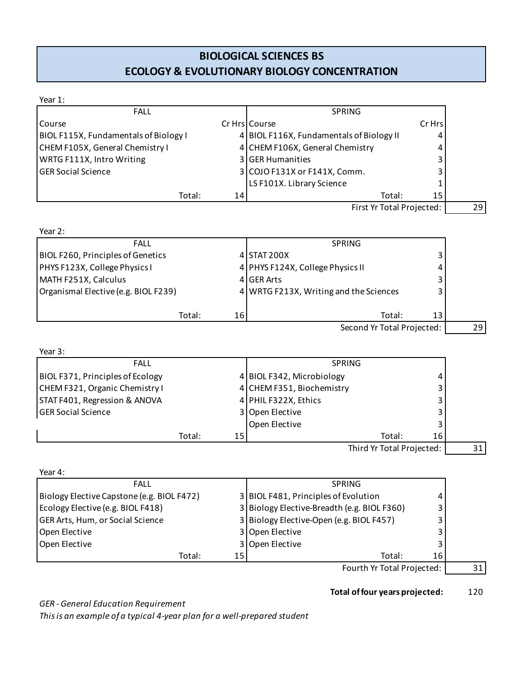## **BIOLOGICAL SCIENCES BS ECOLOGY & EVOLUTIONARY BIOLOGY CONCENTRATION**

| Year 1:                                    |    |                                             |        |    |
|--------------------------------------------|----|---------------------------------------------|--------|----|
| <b>FALL</b>                                |    | SPRING                                      |        |    |
| Course                                     |    | Cr Hrs Course                               | Cr Hrs |    |
| BIOL F115X, Fundamentals of Biology I      |    | 4 BIOL F116X, Fundamentals of Biology II    | 4      |    |
| CHEM F105X, General Chemistry I            |    | 4 CHEM F106X, General Chemistry             | 4      |    |
| WRTG F111X, Intro Writing                  |    | 3 GER Humanities                            | 3      |    |
| <b>GER Social Science</b>                  |    | 3 COJO F131X or F141X, Comm.                | 3      |    |
|                                            |    | LS F101X. Library Science                   | 1      |    |
| Total:                                     | 14 | Total:                                      | 15     |    |
|                                            |    | First Yr Total Projected:                   |        | 29 |
| Year 2:                                    |    |                                             |        |    |
| <b>FALL</b>                                |    | <b>SPRING</b>                               |        |    |
| BIOL F260, Principles of Genetics          |    | 4 STAT 200X                                 | 3      |    |
| PHYS F123X, College Physics I              |    | 4 PHYS F124X, College Physics II            | 4      |    |
| MATH F251X, Calculus                       |    | 4 GER Arts                                  | 3      |    |
| Organismal Elective (e.g. BIOL F239)       |    | 4 WRTG F213X, Writing and the Sciences      | 3      |    |
| Total:                                     | 16 | Total:                                      | 13     |    |
|                                            |    | Second Yr Total Projected:                  |        | 29 |
| Year 3:                                    |    |                                             |        |    |
| <b>FALL</b>                                |    | <b>SPRING</b>                               |        |    |
| BIOL F371, Principles of Ecology           |    | 4 BIOL F342, Microbiology                   | 4      |    |
| CHEM F321, Organic Chemistry I             |    | 4 CHEM F351, Biochemistry                   | 3      |    |
| STAT F401, Regression & ANOVA              |    | 4 PHIL F322X, Ethics                        | 3      |    |
| <b>GER Social Science</b>                  |    | 3 Open Elective                             | 3      |    |
|                                            |    | Open Elective                               | 3      |    |
| Total:                                     | 15 | Total:                                      | 16     |    |
|                                            |    | Third Yr Total Projected:                   |        | 31 |
| Year 4:                                    |    |                                             |        |    |
| <b>FALL</b>                                |    | SPRING                                      |        |    |
| Biology Elective Capstone (e.g. BIOL F472) |    | 3 BIOL F481, Principles of Evolution        | 4      |    |
| Ecology Elective (e.g. BIOL F418)          |    | 3 Biology Elective-Breadth (e.g. BIOL F360) | 3      |    |
| GER Arts, Hum, or Social Science           |    | 3 Biology Elective-Open (e.g. BIOL F457)    | 3      |    |
| Open Elective                              |    | 3 Open Elective                             | 3      |    |
| Open Elective                              |    | 3 Open Elective                             | 3      |    |

Total: 15 | Total: 16 Fourth Yr Total Projected: 31

#### **Total of four years projected:** 120

*GER - General Education Requirement*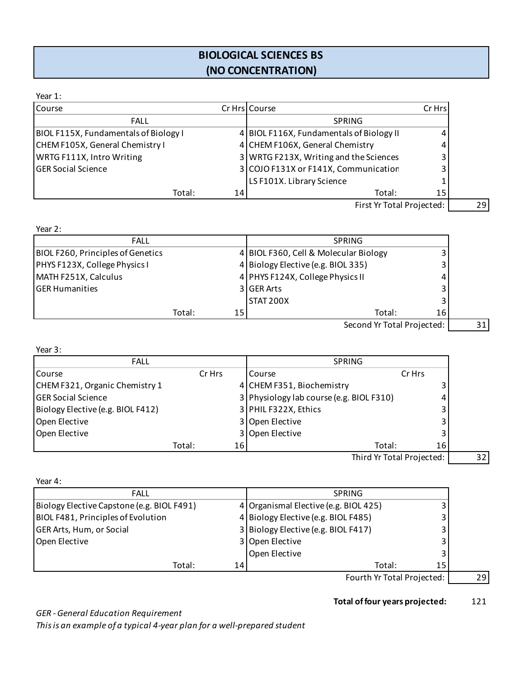## **BIOLOGICAL SCIENCES BS (NO CONCENTRATION)**

#### Year 1:

| Course                                |    | Cr Hrs   Course                          | Cr Hrs |
|---------------------------------------|----|------------------------------------------|--------|
| <b>FALL</b>                           |    | <b>SPRING</b>                            |        |
| BIOL F115X, Fundamentals of Biology I |    | 4 BIOL F116X, Fundamentals of Biology II | 4      |
| CHEM F105X, General Chemistry I       |    | 4 CHEM F106X, General Chemistry          |        |
| WRTG F111X, Intro Writing             |    | 3 WRTG F213X, Writing and the Sciences   |        |
| <b>GER Social Science</b>             |    | 3 COJO F131X or F141X, Communication     |        |
|                                       |    | LS F101X. Library Science                |        |
| Total:                                | 14 | Total:                                   | 15     |
|                                       |    | First We Total Data                      |        |

First Yr Total Projected: 29

Year 2:

| <b>FALL</b>                       |                 | <b>SPRING</b>                         |                            |  |
|-----------------------------------|-----------------|---------------------------------------|----------------------------|--|
| BIOL F260, Principles of Genetics |                 | 4 BIOL F360, Cell & Molecular Biology |                            |  |
| PHYS F123X, College Physics I     |                 | 4 Biology Elective (e.g. BIOL 335)    |                            |  |
| MATH F251X, Calculus              |                 | 4 PHYS F124X, College Physics II      |                            |  |
| <b>GER Humanities</b>             |                 | 3 GER Arts                            |                            |  |
|                                   |                 | <b>STAT 200X</b>                      |                            |  |
| Total:                            | 15 <sup>1</sup> |                                       | 16<br>Total:               |  |
|                                   |                 |                                       | Second Yr Total Projected: |  |
|                                   |                 |                                       |                            |  |

Year 3:

| <b>FALL</b>                       |        |        | <b>SPRING</b>                            |        |  |
|-----------------------------------|--------|--------|------------------------------------------|--------|--|
| <b>Course</b>                     |        | Cr Hrs | <b>Course</b>                            | Cr Hrs |  |
| CHEM F321, Organic Chemistry 1    |        |        | 4 CHEM F351, Biochemistry                |        |  |
| <b>GER Social Science</b>         |        |        | 3 Physiology lab course (e.g. BIOL F310) |        |  |
| Biology Elective (e.g. BIOL F412) |        |        | 3 PHIL F322X, Ethics                     |        |  |
| Open Elective                     |        |        | 3 Open Elective                          |        |  |
| Open Elective                     |        |        | 3 Open Elective                          |        |  |
|                                   | Total: | 16     | Total:                                   | 16     |  |
|                                   |        |        |                                          |        |  |

Third Yr Total Projected: 32

| Year 4:                                    |    |                                       |    |
|--------------------------------------------|----|---------------------------------------|----|
| <b>FALL</b>                                |    | <b>SPRING</b>                         |    |
| Biology Elective Capstone (e.g. BIOL F491) |    | 4 Organismal Elective (e.g. BIOL 425) |    |
| BIOL F481, Principles of Evolution         |    | 4 Biology Elective (e.g. BIOL F485)   |    |
| GER Arts, Hum, or Social                   |    | 3 Biology Elective (e.g. BIOL F417)   |    |
| Open Elective                              |    | 3 Open Elective                       |    |
|                                            |    | Open Elective                         |    |
| Total:                                     | 14 | Total:                                | 15 |
|                                            |    | - -                                   |    |

Fourth Yr Total Projected: 29

#### **Total of four years projected:** 121

*GER - General Education Requirement*